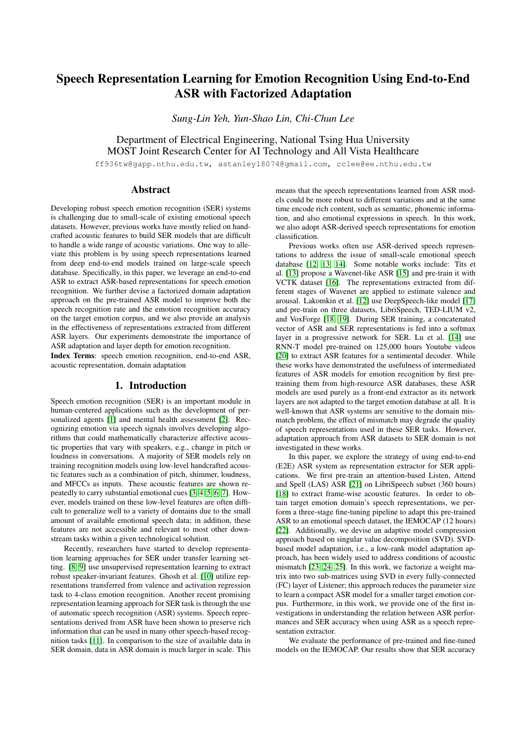# Speech Representation Learning for Emotion Recognition Using End-to-End ASR with Factorized Adaptation

*Sung-Lin Yeh, Yun-Shao Lin, Chi-Chun Lee*

Department of Electrical Engineering, National Tsing Hua University MOST Joint Research Center for AI Technology and All Vista Healthcare

ff936tw@gapp.nthu.edu.tw, astanley18074@gmail.com, cclee@ee.nthu.edu.tw

# Abstract

Developing robust speech emotion recognition (SER) systems is challenging due to small-scale of existing emotional speech datasets. However, previous works have mostly relied on handcrafted acoustic features to build SER models that are difficult to handle a wide range of acoustic variations. One way to alleviate this problem is by using speech representations learned from deep end-to-end models trained on large-scale speech database. Specifically, in this paper, we leverage an end-to-end ASR to extract ASR-based representations for speech emotion recognition. We further devise a factorized domain adaptation approach on the pre-trained ASR model to improve both the speech recognition rate and the emotion recognition accuracy on the target emotion corpus, and we also provide an analysis in the effectiveness of representations extracted from different ASR layers. Our experiments demonstrate the importance of ASR adaptation and layer depth for emotion recognition.

Index Terms: speech emotion recognition, end-to-end ASR, acoustic representation, domain adaptation

# 1. Introduction

Speech emotion recognition (SER) is an important module in human-centered applications such as the development of personalized agents [\[1\]](#page-4-0) and mental health assessment [\[2\]](#page-4-1). Recognizing emotion via speech signals involves developing algorithms that could mathematically characterize affective acoustic properties that vary with speakers, e.g., change in pitch or loudness in conversations. A majority of SER models rely on training recognition models using low-level handcrafted acoustic features such as a combination of pitch, shimmer, loudness, and MFCCs as inputs. These acoustic features are shown repeatedly to carry substantial emotional cues [\[3,](#page-4-2) [4,](#page-4-3) [5,](#page-4-4) [6,](#page-4-5) [7\]](#page-4-6). However, models trained on these low-level features are often difficult to generalize well to a variety of domains due to the small amount of available emotional speech data; in addition, these features are not accessible and relevant to most other downstream tasks within a given technological solution.

Recently, researchers have started to develop representation learning approaches for SER under transfer learning setting. [\[8,](#page-4-7) [9\]](#page-4-8) use unsupervised representation learning to extract robust speaker-invariant features. Ghosh et al. [\[10\]](#page-4-9) utilize representations transferred from valence and activation regression task to 4-class emotion recognition. Another recent promising representation learning approach for SER task is through the use of automatic speech recognition (ASR) systems. Speech representations derived from ASR have been shown to preserve rich information that can be used in many other speech-based recognition tasks [\[11\]](#page-4-10). In comparison to the size of available data in SER domain, data in ASR domain is much larger in scale. This means that the speech representations learned from ASR models could be more robust to different variations and at the same time encode rich content, such as semantic, phonemic information, and also emotional expressions in speech. In this work, we also adopt ASR-derived speech representations for emotion classification.

Previous works often use ASR-derived speech representations to address the issue of small-scale emotional speech database [\[12,](#page-4-11) [13,](#page-4-12) [14\]](#page-4-13). Some notable works include: Tits et al. [\[13\]](#page-4-12) propose a Wavenet-like ASR [\[15\]](#page-4-14) and pre-train it with VCTK dataset [\[16\]](#page-4-15). The representations extracted from different stages of Wavenet are applied to estimate valence and arousal. Lakomkin et al. [\[12\]](#page-4-11) use DeepSpeech-like model [\[17\]](#page-4-16) and pre-train on three datasets, LibriSpeech, TED-LIUM v2, and VoxForge [\[18,](#page-4-17) [19\]](#page-4-18). During SER training, a concatenated vector of ASR and SER representations is fed into a softmax layer in a progressive network for SER. Lu et al. [\[14\]](#page-4-13) use RNN-T model pre-trained on 125,000 hours Youtube videos [\[20\]](#page-4-19) to extract ASR features for a sentimental decoder. While these works have demonstrated the usefulness of intermediated features of ASR models for emotion recognition by first pretraining them from high-resource ASR databases, these ASR models are used purely as a front-end extractor as its network layers are not adapted to the target emotion database at all. It is well-known that ASR systems are sensitive to the domain mismatch problem, the effect of mismatch may degrade the quality of speech representations used in these SER tasks. However, adaptation approach from ASR datasets to SER domain is not investigated in these works.

In this paper, we explore the strategy of using end-to-end (E2E) ASR system as representation extractor for SER applications. We first pre-train an attention-based Listen, Attend and Spell (LAS) ASR [\[21\]](#page-4-20) on LibriSpeech subset (360 hours) [\[18\]](#page-4-17) to extract frame-wise acoustic features. In order to obtain target emotion domain's speech representations, we perform a three-stage fine-tuning pipeline to adapt this pre-trained ASR to an emotional speech dataset, the IEMOCAP (12 hours) [\[22\]](#page-4-21). Additionally, we devise an adaptive model compression approach based on singular value decomposition (SVD). SVDbased model adaptation, i.e., a low-rank model adaptation approach, has been widely used to address conditions of acoustic mismatch [\[23,](#page-4-22) [24,](#page-4-23) [25\]](#page-4-24). In this work, we factorize a weight matrix into two sub-matrices using SVD in every fully-connected (FC) layer of Listener; this approach reduces the parameter size to learn a compact ASR model for a smaller target emotion corpus. Furthermore, in this work, we provide one of the first investigations in understanding the relation between ASR performances and SER accuracy when using ASR as a speech representation extractor.

We evaluate the performance of pre-trained and fine-tuned models on the IEMOCAP. Our results show that SER accuracy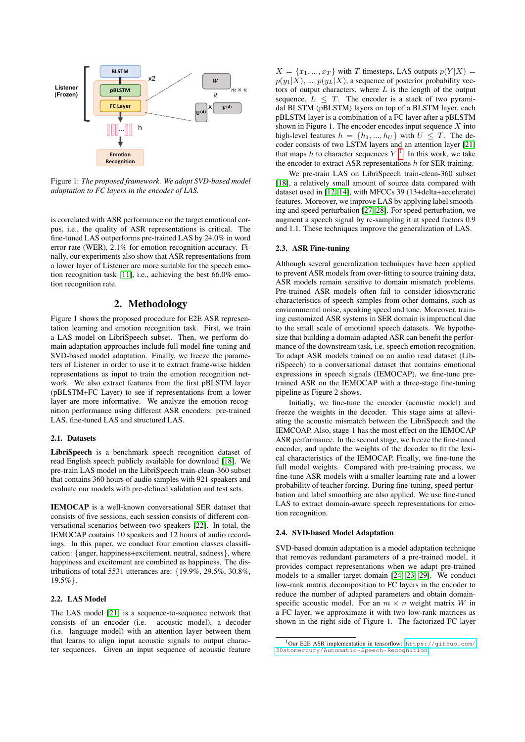

Figure 1: *The proposed framework. We adopt SVD-based model adaptation to FC layers in the encoder of LAS.*

is correlated with ASR performance on the target emotional corpus, i.e., the quality of ASR representations is critical. The fine-tuned LAS outperforms pre-trained LAS by 24.0% in word error rate (WER), 2.1% for emotion recognition accuracy. Finally, our experiments also show that ASR representations from a lower layer of Listener are more suitable for the speech emotion recognition task [\[11\]](#page-4-10), i.e., achieving the best 66.0% emotion recognition rate.

# 2. Methodology

Figure 1 shows the proposed procedure for E2E ASR representation learning and emotion recognition task. First, we train a LAS model on LibriSpeech subset. Then, we perform domain adaptation approaches include full model fine-tuning and SVD-based model adaptation. Finally, we freeze the parameters of Listener in order to use it to extract frame-wise hidden representations as input to train the emotion recognition network. We also extract features from the first pBLSTM layer (pBLSTM+FC Layer) to see if representations from a lower layer are more informative. We analyze the emotion recognition performance using different ASR encoders: pre-trained LAS, fine-tuned LAS and structured LAS.

## 2.1. Datasets

LibriSpeech is a benchmark speech recognition dataset of read English speech publicly available for download [\[18\]](#page-4-17). We pre-train LAS model on the LibriSpeech train-clean-360 subset that contains 360 hours of audio samples with 921 speakers and evaluate our models with pre-defined validation and test sets.

IEMOCAP is a well-known conversational SER dataset that consists of five sessions, each session consists of different conversational scenarios between two speakers [\[22\]](#page-4-21). In total, the IEMOCAP contains 10 speakers and 12 hours of audio recordings. In this paper, we conduct four emotion classes classification: {anger, happiness+excitement, neutral, sadness}, where happiness and excitement are combined as happiness. The distributions of total 5531 utterances are: {19.9%, 29.5%, 30.8%,  $19.5\%$ .

# 2.2. LAS Model

The LAS model [\[21\]](#page-4-20) is a sequence-to-sequence network that consists of an encoder (i.e. acoustic model), a decoder (i.e. language model) with an attention layer between them that learns to align input acoustic signals to output character sequences. Given an input sequence of acoustic feature

 $X = \{x_1, ..., x_T\}$  with T timesteps, LAS outputs  $p(Y|X) =$  $p(y_1|X),..., p(y_L|X)$ , a sequence of posterior probability vectors of output characters, where  $L$  is the length of the output sequence,  $L \leq T$ . The encoder is a stack of two pyramidal BLSTM (pBLSTM) layers on top of a BLSTM layer, each pBLSTM layer is a combination of a FC layer after a pBLSTM shown in Figure 1. The encoder encodes input sequence  $X$  into high-level features  $h = \{h_1, ..., h_U\}$  with  $U \leq T$ . The decoder consists of two LSTM layers and an attention layer [\[21\]](#page-4-20) that maps h to character sequences  $Y<sup>1</sup>$  $Y<sup>1</sup>$  $Y<sup>1</sup>$ . In this work, we take the encoder to extract ASR representations  $h$  for SER training.

We pre-train LAS on LibriSpeech train-clean-360 subset [\[18\]](#page-4-17), a relatively small amount of source data compared with dataset used in [\[12,](#page-4-11) [14\]](#page-4-13), with MFCCs 39 (13+delta+accelerate) features. Moreover, we improve LAS by applying label smoothing and speed perturbation [\[27,](#page-4-25) [28\]](#page-4-26). For speed perturbation, we augment a speech signal by re-sampling it at speed factors 0.9 and 1.1. These techniques improve the generalization of LAS.

#### 2.3. ASR Fine-tuning

Although several generalization techniques have been applied to prevent ASR models from over-fitting to source training data, ASR models remain sensitive to domain mismatch problems. Pre-trained ASR models often fail to consider idiosyncratic characteristics of speech samples from other domains, such as environmental noise, speaking speed and tone. Moreover, training customized ASR systems in SER domain is impractical due to the small scale of emotional speech datasets. We hypothesize that building a domain-adapted ASR can benefit the performance of the downstream task, i.e. speech emotion recognition. To adapt ASR models trained on an audio read dataset (LibriSpeech) to a conversational dataset that contains emotional expressions in speech signals (IEMOCAP), we fine-tune pretrained ASR on the IEMOCAP with a three-stage fine-tuning pipeline as Figure 2 shows.

Initially, we fine-tune the encoder (acoustic model) and freeze the weights in the decoder. This stage aims at alleviating the acoustic mismatch between the LibriSpeech and the IEMCOAP. Also, stage-1 has the most effect on the IEMOCAP ASR performance. In the second stage, we freeze the fine-tuned encoder, and update the weights of the decoder to fit the lexical characteristics of the IEMOCAP. Finally, we fine-tune the full model weights. Compared with pre-training process, we fine-tune ASR models with a smaller learning rate and a lower probability of teacher forcing. During fine-tuning, speed perturbation and label smoothing are also applied. We use fine-tuned LAS to extract domain-aware speech representations for emotion recognition.

#### 2.4. SVD-based Model Adaptation

SVD-based domain adaptation is a model adaptation technique that removes redundant parameters of a pre-trained model, it provides compact representations when we adapt pre-trained models to a smaller target domain [\[24,](#page-4-23) [23,](#page-4-22) [29\]](#page-4-27). We conduct low-rank matrix decomposition to FC layers in the encoder to reduce the number of adapted parameters and obtain domainspecific acoustic model. For an  $m \times n$  weight matrix W in a FC layer, we approximate it with two low-rank matrices as shown in the right side of Figure 1. The factorized FC layer

<span id="page-1-0"></span><sup>1</sup>Our E2E ASR implementation in tensorflow: [https://github.com/](https://github.com/30stomercury/Automatic-Speech-Recognition) [30stomercury/Automatic-Speech-Recognition](https://github.com/30stomercury/Automatic-Speech-Recognition).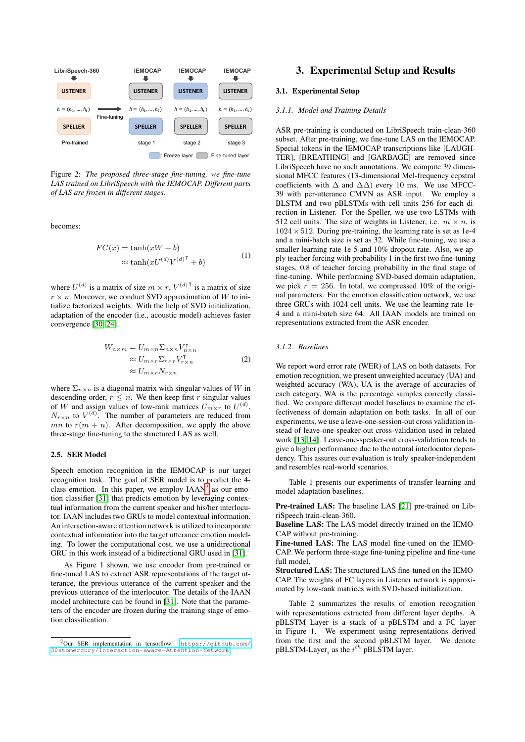

Figure 2: *The proposed three-stage fine-tuning, we fine-tune LAS trained on LibriSpeech with the IEMOCAP. Different parts of LAS are frozen in different stages.*

becomes:

$$
FC(x) = \tanh(xW + b)
$$
  
\n
$$
\approx \tanh(xU^{(d)}V^{(d)\mathsf{T}} + b)
$$
 (1)

where  $U^{(d)}$  is a matrix of size  $m \times r$ ,  $V^{(d)}$ <sup>T</sup> is a matrix of size  $r \times n$ . Moreover, we conduct SVD approximation of W to initialize factorized weights. With the help of SVD initialization, adaptation of the encoder (i.e., acoustic model) achieves faster convergence [\[30,](#page-4-28) [24\]](#page-4-23).

$$
W_{n \times m} = U_{m \times n} \Sigma_{n \times n} V_{n \times n}^{\mathsf{T}}
$$
  
\n
$$
\approx U_{m \times r} \Sigma_{r \times r} V_{r \times n}^{\mathsf{T}}
$$
  
\n
$$
\approx U_{m \times r} N_{r \times n}
$$
 (2)

where  $\Sigma_{n\times n}$  is a diagonal matrix with singular values of W in descending order,  $r \leq n$ . We then keep first r singular values of W and assign values of low-rank matrices  $U_{m \times r}$  to  $U^{(d)}$ ,  $N_{r \times n}$  to  $V^{(d)}$ . The number of parameters are reduced from mn to  $r(m + n)$ . After decomposition, we apply the above three-stage fine-tuning to the structured LAS as well.

#### 2.5. SER Model

Speech emotion recognition in the IEMOCAP is our target recognition task. The goal of SER model is to predict the 4 class emotion. In this paper, we employ  $IAAN<sup>2</sup>$  $IAAN<sup>2</sup>$  $IAAN<sup>2</sup>$  as our emotion classifier [\[31\]](#page-4-29) that predicts emotion by leveraging contextual information from the current speaker and his/her interlocutor. IAAN includes two GRUs to model contextual information. An interaction-aware attention network is utilized to incorporate contextual information into the target utterance emotion modeling. To lower the computational cost, we use a unidirectional GRU in this work instead of a bidirectional GRU used in [\[31\]](#page-4-29).

As Figure 1 shown, we use encoder from pre-trained or fine-tuned LAS to extract ASR representations of the target utterance, the previous utterance of the current speaker and the previous utterance of the interlocutor. The details of the IAAN model architecture can be found in [\[31\]](#page-4-29). Note that the parameters of the encoder are frozen during the training stage of emotion classification.

# 3. Experimental Setup and Results

## 3.1. Experimental Setup

#### *3.1.1. Model and Training Details*

ASR pre-training is conducted on LibriSpeech train-clean-360 subset. After pre-training, we fine-tune LAS on the IEMOCAP. Special tokens in the IEMOCAP transcriptions like [LAUGH-TER], [BREATHING] and [GARBAGE] are removed since LibriSpeech have no such annotations. We compute 39 dimensional MFCC features (13-dimensional Mel-frequency cepstral coefficients with  $\Delta$  and  $\Delta\Delta$ ) every 10 ms. We use MFCC-39 with per-utterance CMVN as ASR input. We employ a BLSTM and two pBLSTMs with cell units 256 for each direction in Listener. For the Speller, we use two LSTMs with 512 cell units. The size of weights in Listener, i.e.  $m \times n$ , is  $1024 \times 512$ . During pre-training, the learning rate is set as 1e-4 and a mini-batch size is set as 32. While fine-tuning, we use a smaller learning rate 1e-5 and 10% dropout rate. Also, we apply teacher forcing with probability 1 in the first two fine-tuning stages, 0.8 of teacher forcing probability in the final stage of fine-tuning. While performing SVD-based domain adaptation, we pick  $r = 256$ . In total, we compressed 10% of the original parameters. For the emotion classification network, we use three GRUs with 1024 cell units. We use the learning rate 1e-4 and a mini-batch size 64. All IAAN models are trained on representations extracted from the ASR encoder.

#### *3.1.2. Baselines*

We report word error rate (WER) of LAS on both datasets. For emotion recognition, we present unweighted accuracy (UA) and weighted accuracy (WA), UA is the average of accuracies of each category, WA is the percentage samples correctly classified. We compare different model baselines to examine the effectiveness of domain adaptation on both tasks. In all of our experiments, we use a leave-one-session-out cross validation instead of leave-one-speaker-out cross-validation used in related work [\[13,](#page-4-12) [14\]](#page-4-13). Leave-one-speaker-out cross-validation tends to give a higher performance due to the natural interlocutor dependency. This assures our evaluation is truly speaker-independent and resembles real-world scenarios.

Table 1 presents our experiments of transfer learning and model adaptation baselines.

Pre-trained LAS: The baseline LAS [\[21\]](#page-4-20) pre-trained on LibriSpeech train-clean-360.

Baseline LAS: The LAS model directly trained on the IEMO-CAP without pre-training.

Fine-tuned LAS: The LAS model fine-tuned on the IEMO-CAP. We perform three-stage fine-tuning pipeline and fine-tune full model.

Structured LAS: The structured LAS fine-tuned on the IEMO-CAP. The weights of FC layers in Listener network is approximated by low-rank matrices with SVD-based initialization.

Table 2 summarizes the results of emotion recognition with representations extracted from different layer depths. A pBLSTM Layer is a stack of a pBLSTM and a FC layer in Figure 1. We experiment using representations derived from the first and the second pBLSTM layer. We denote pBLSTM-Layer, as the  $i^{th}$  pBLSTM layer.

<span id="page-2-0"></span><sup>2</sup>Our SER implementation in tensorflow: [https://github.com/](https://github.com/30stomercury/Interaction-aware-Attention-Network) [30stomercury/Interaction-aware-Attention-Network](https://github.com/30stomercury/Interaction-aware-Attention-Network).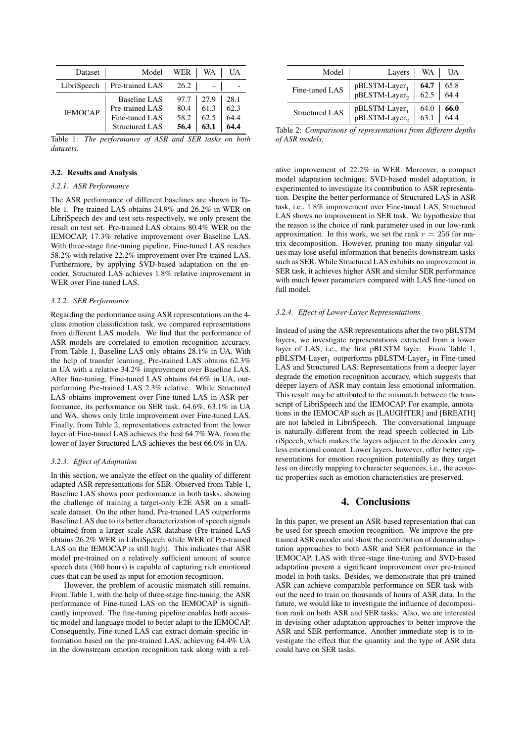| Dataset        | Model                                                                      | WER                          | WA                           | UA                           |
|----------------|----------------------------------------------------------------------------|------------------------------|------------------------------|------------------------------|
|                | $LibriSpecch$   Pre-trained LAS                                            | 26.2                         |                              |                              |
| <b>IEMOCAP</b> | Baseline LAS<br>Pre-trained LAS<br>Fine-tuned LAS<br><b>Structured LAS</b> | 97.7<br>80.4<br>58.2<br>56.4 | 27.9<br>61.3<br>62.5<br>63.1 | 28.1<br>62.3<br>64.4<br>64.4 |

Table 1: *The performance of ASR and SER tasks on both datasets.*

#### 3.2. Results and Analysis

#### *3.2.1. ASR Performance*

The ASR performance of different baselines are shown in Table 1. Pre-trained LAS obtains 24.9% and 26.2% in WER on LibriSpeech dev and test sets respectively, we only present the result on test set. Pre-trained LAS obtains 80.4% WER on the IEMOCAP, 17.3% relative improvement over Baseline LAS. With three-stage fine-tuning pipeline, Fine-tuned LAS reaches 58.2% with relative 22.2% improvement over Pre-trained LAS. Furthermore, by applying SVD-based adaptation on the encoder, Structured LAS achieves 1.8% relative improvement in WER over Fine-tuned LAS.

#### *3.2.2. SER Performance*

Regarding the performance using ASR representations on the 4 class emotion classification task, we compared representations from different LAS models. We find that the performance of ASR models are correlated to emotion recognition accuracy. From Table 1, Baseline LAS only obtains 28.1% in UA. With the help of transfer learning, Pre-trained LAS obtains 62.3% in UA with a relative 34.2% improvement over Baseline LAS. After fine-tuning, Fine-tuned LAS obtains 64.6% in UA, outperforming Pre-trained LAS 2.3% relative. While Structured LAS obtains improvement over Fine-tuned LAS in ASR performance, its performance on SER task, 64.6%, 63.1% in UA and WA, shows only little improvement over Fine-tuned LAS. Finally, from Table 2, representations extracted from the lower layer of Fine-tuned LAS achieves the best 64.7% WA, from the lower of layer Structured LAS achieves the best 66.0% in UA.

#### *3.2.3. Effect of Adaptation*

In this section, we analyze the effect on the quality of different adapted ASR representations for SER. Observed from Table 1, Baseline LAS shows poor performance in both tasks, showing the challenge of training a target-only E2E ASR on a smallscale dataset. On the other hand, Pre-trained LAS outperforms Baseline LAS due to its better characterization of speech signals obtained from a larger scale ASR database (Pre-trained LAS obtains 26.2% WER in LibriSpeech while WER of Pre-trained LAS on the IEMOCAP is still high). This indicates that ASR model pre-trained on a relatively sufficient amount of source speech data (360 hours) is capable of capturing rich emotional cues that can be used as input for emotion recognition.

However, the problem of acoustic mismatch still remains. From Table 1, with the help of three-stage fine-tuning, the ASR performance of Fine-tuned LAS on the IEMOCAP is significantly improved. The fine-tuning pipeline enables both acoustic model and language model to better adapt to the IEMOCAP. Consequently, Fine-tuned LAS can extract domain-specific information based on the pre-trained LAS, achieving 64.4% UA in the downstream emotion recognition task along with a rel-

| Model                 | Layers                                        | WA                  | UA           |
|-----------------------|-----------------------------------------------|---------------------|--------------|
| Fine-tuned LAS        | $pBLSTM-Layer_1$<br>pBLSTM-Layer <sub>2</sub> | 64.7<br>$62.5$ 64.4 | 65.8         |
| <b>Structured LAS</b> | $pBLSTM-Layer_1$<br>pBLSTM-Layer <sub>2</sub> | 64.0<br>63.1        | 66.0<br>64.4 |

Table 2: *Comparisons of representations from different depths of ASR models.*

ative improvement of 22.2% in WER. Moreover, a compact model adaptation technique, SVD-based model adaptation, is experimented to investigate its contribution to ASR representation. Despite the better performance of Structured LAS in ASR task, i.e., 1.8% improvement over Fine-tuned LAS, Structured LAS shows no improvement in SER task. We hypothesize that the reason is the choice of rank parameter used in our low-rank approximation. In this work, we set the rank  $r = 256$  for matrix decomposition. However, pruning too many singular values may lose useful information that benefits downstream tasks such as SER. While Structured LAS exhibits no improvement in SER task, it achieves higher ASR and similar SER performance with much fewer parameters compared with LAS fine-tuned on full model.

# *3.2.4. Effect of Lower-Layer Representations*

Instead of using the ASR representations after the two pBLSTM layers, we investigate representations extracted from a lower layer of LAS, i.e., the first pBLSTM layer. From Table 1,  $\text{pBLSTM-Layer}_{1}$  outperforms  $\text{pBLSTM-Layer}_{2}$  in Fine-tuned LAS and Structured LAS. Representations from a deeper layer degrade the emotion recognition accuracy, which suggests that deeper layers of ASR may contain less emotional information. This result may be attributed to the mismatch between the transcript of LibriSpeech and the IEMOCAP. For example, annotations in the IEMOCAP such as [LAUGHTER] and [BREATH] are not labeled in LibriSpeech. The conversational language is naturally different from the read speech collected in LibriSpeech, which makes the layers adjacent to the decoder carry less emotional content. Lower layers, however, offer better representations for emotion recognition potentially as they target less on directly mapping to character sequences, i.e., the acoustic properties such as emotion characteristics are preserved.

# 4. Conclusions

In this paper, we present an ASR-based representation that can be used for speech emotion recognition. We improve the pretrained ASR encoder and show the contribution of domain adaptation approaches to both ASR and SER performance in the IEMOCAP. LAS with three-stage fine-tuning and SVD-based adaptation present a significant improvement over pre-trained model in both tasks. Besides, we demonstrate that pre-trained ASR can achieve comparable performance on SER task without the need to train on thousands of hours of ASR data. In the future, we would like to investigate the influence of decomposition rank on both ASR and SER tasks. Also, we are interested in devising other adaptation approaches to better improve the ASR and SER performance. Another immediate step is to investigate the effect that the quantity and the type of ASR data could have on SER tasks.